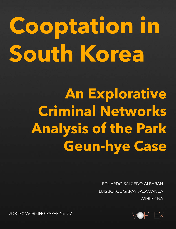# **Cooptation in South Korea**

**An Explorative Criminal Networks Analysis of the Park Geun-hye Case** 

> LUIS JORGE GARAY SALAMANCA EDUARDO SALCEDO-ALBARÁN LUIS JORGE GARAY SALAMANCA ASHLEY NA



VORTEX WORKING PAPER No. 57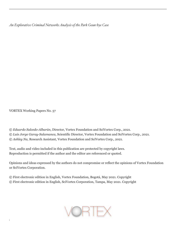*An Explorative Criminal Networks Analysis of the Park Geun-hye Case* 

VORTEX Working Papers No. 57

© *Eduardo Salcedo-Albarán*, Director, Vortex Foundation and SciVortex Corp., 2021. © *Luis Jorge Garay-Salamanca*, Scientific Director, Vortex Foundation and SciVortex Corp., 2021. © *Ashley Na*, Research Assistant, Vortex Foundation and SciVortex Corp., 2021.

Text, audio and video included in this publication are protected by copyright laws. Reproduction is permitted if the author and the editor are referenced or quoted.

Opinions and ideas expressed by the authors do not compromise or reflect the opinions of Vortex Foundation or SciVortex Corporation.

© First electronic edition in English, Vortex Foundation, Bogotá, May 2021. Copyright © First electronic edition in English, SciVortex Corporation, Tampa, May 2021. Copyright

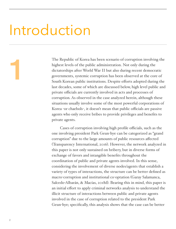### Introduction

The Republic of Korea has been scenario of corruption involving the highest levels of the public administration. Not only during the dictatorships after World War II but also during recent democratic governments, systemic corruption has been observed at the core of South Korean public institutions. Despite efforts adopted during the last decades, some of which are discussed below, high level public and private officials are currently involved in acts and processes of corruption. As observed in the case analyzed herein, although these situations usually involve some of the most powerful corporations of Korea -or chaebols-, it doesn't mean that public officials are passive agents who only receive bribes to provide privileges and benefits to private agents.

Cases of corruption involving high profile officials, such as the one involving president Park Geun-hye can be categorized as "grand corruption" due to the large amounts of public resources affected (Transparency International, 2016). However, the network analyzed in this paper is not only sustained on bribery, but in diverse forms of exchange of favors and intangible benefits throughout the coordination of public and private agents involved. In this sense, considering the involvement of diverse nodes/agents that establish a variety of types of interactions, the structure can be better defined as macro-corruption and institutional co-optation (Garay Salamanca, Salcedo-Albarán, & Macías, 2018d). Bearing this in mind, this paper is an initial effort to apply criminal networks analysis to understand the illicit structure of interactions between public and private agents involved in the case of corruption related to the president Park Geun-hye; specifically, this analysis shows that the case can be better

1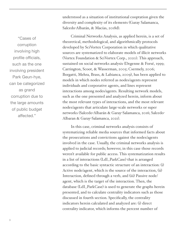understood as a situation of institutional cooptation given the diversity and complexity of its elements (Garay Salamanca, Salcedo-Albarán, & Macías, 2018d).

Criminal Networks Analysis, as applied herein, is a set of theoretical, methodological, and algorithmically protocols developed by SciVortex Corporation in which qualitative sources are systematized to elaborate models of illicit networks (Vortex Foundation & SciVortex Corp., 2020). This approach, sustained on social networks analysis (Degenne & Forsé, 1999; Carrington, Scoot, & Wasserman, 2005; Csermely, 2006; Borgatti, Mehra, Brass, & Labianca, 2009), has been applied to models in which nodes referred as nodes/agents represent individuals and corporative agents, and lines represent interactions among nodes/agents. Resulting network models, such as the one presented and analyzed herein, inform about the most relevant types of interactions, and the most relevant nodes/agents that articulate large-scale networks or super networks (Salcedo-Albarán & Garay-Salamanca, 2016; Salcedo-Albaran & Garay-Salamanca, 2021).

In this case, criminal networks analysis consists of systematizing reliable media sources that informed facts about the prosecutions and convictions against the nodes/agents involved in the case. Usually, the criminal networks analysis is applied to judicial records; however, in this case those records weren't available for public access. This systematization results in a list of interactions (LdI\_ParkCase) that is arranged according to the basic syntactic structure of an interaction: (i) Active node/agent, which is the source of the interaction, (ii) Interaction, defined through a verb, and (iii) Passive node/ agent, which is the target of the interaction. Then, the database (LdI\_ParkCase) is used to generate the graphs herein presented, and to calculate centrality indicators such as those discussed in fourth section. Specifically, the centrality indicators herein calculated and analyzed are: (i) direct centrality indicator, which informs the percent number of

"Cases of corruption involving high profile officials, such as the one involving president Park Geun-hye, can be categorized as grand corruption due to the large amounts of public budget affected."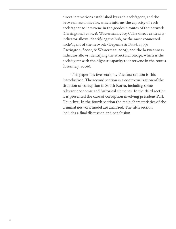direct interactions established by each node/agent, and the betweenness indicator, which informs the capacity of each node/agent to intervene in the geodesic routes of the network (Carrington, Scoot, & Wasserman, 2005). The direct centrality indicator allows identifying the hub, or the most connected node/agent of the network (Degenne & Forsé, 1999; Carrington, Scoot, & Wasserman, 2005), and the betweenness indicator allows identifying the structural bridge, which is the node/agent with the highest capacity to intervene in the routes (Csermely, 2006).

This paper has five sections. The first section is this introduction. The second section is a contextualization of the situation of corruption in South Korea, including some relevant economic and historical elements. In the third section it is presented the case of corruption involving president Park Geun-hye. In the fourth section the main characteristics of the criminal network model are analyzed. The fifth section includes a final discussion and conclusion.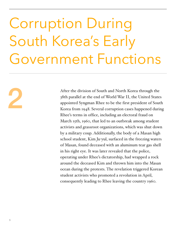## Corruption During South Korea's Early Government Functions

After the division of South and North Korea through the<br>38th parallel at the end of World War II, the United States<br>appointed Syngman Rhee to be the first president of Sout<br>Korea from 1948. Several corruption cases happene 38th parallel at the end of World War II, the United States appointed Syngman Rhee to be the first president of South Korea from 1948. Several corruption cases happened during Rhee's terms in office, including an electoral fraud on March 15th, 1960, that led to an outbreak among student activists and grassroot organizations, which was shut down by a military coup. Additionally, the body of a Masan high school student, Kim Ju-yul, surfaced in the freezing waters of Masan, found deceased with an aluminum tear gas shell in his right eye. It was later revealed that the police, operating under Rhee's dictatorship, had wrapped a rock around the deceased Kim and thrown him into the Masan ocean during the protests. The revelation triggered Korean student activists who promoted a revolution in April, consequently leading to Rhee leaving the country 1960.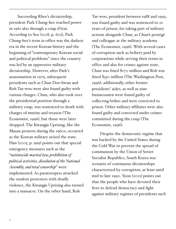Succeeding Rhee's dictatorship, president Park Chung-hee reached power in 1961 also through a coup d'état. According to Seo (2018, p. 605), Park Chung-hee's term in office was the darkest era in the recent Korean history and the beginning of "contemporary Korean social and political problems" since the country was led by an oppressive military dictatorship. However, after Park's assassination in 1979, subsequent presidents such as Chun Doo-hwan and Roh Tae-woo were also found guilty with various charges. Chun, who also took over the presidential position through a military coup, was sentenced to death with charges of mutiny and treason (The Economist, 1996), but those were later dropped. The Kwangju Uprising, like the Masan protests during the 1960s, occurred as the Korean military seized the state. Han (2005, p. 999) points out that special emergency measures such as the "*nationwide marital law, prohibition of political activities, dissolution of the National Assembly, and total censorship*" were implemented. As paratroopers attacked the student protesters with deadly violence, the Kwangju Uprising also turned into a massacre. On the other hand, Roh

Tae-woo, president between 1988 and 1993, was found guilty and was sentenced to 22 years of prison, for taking part of military actions alongside Chun, as Chun's protégé and colleague at the military academy (The Economist, 1996). With several cases of corruption such as bribery paid by corporations while serving their terms in office and also for crimes against state, Chun was fined \$270 million and Roh was fined \$350 million (The Washington Post, 1996); additionally, other former presidents' aides, as well as nine businessmen were found guilty of collecting bribes and were convicted to prison. Other military affiliates were also found guilty and convicted under crimes committed during the coup (The Economist, 1996).

Despite the democratic regime that was backed by the United States during the Cold War to prevent the spread of communism by the Union of Soviet Socialist Republics, South Korea was scenario of continuous dictatorships characterized by corruption, at least until mid to late 1990. Yoon (2012) points out that the people who have devoted their lives to defend democracy and fight against military regimes of presidents such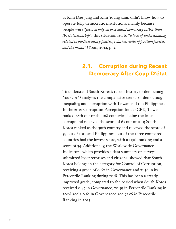as Kim Dae-jung and Kim Young-sam, didn't know how to operate fully democratic institutions, mainly because people were "*focused only on procedural democracy rather than the statesmanship*"; this situation led to "*a lack of understanding related to parliamentary politics, relations with opposition parties, and the media*" (Yoon, 2012, p. 2).

#### **2.1. Corruption during Recent Democracy After Coup D'état**

To understand South Korea's recent history of democracy, You (2016) analyses the comparative trends of democracy, inequality, and corruption with Taiwan and the Philippines. In the 2019 Corruption Perception Index (CPI), Taiwan ranked 28th out of the 198 countries, being the least corrupt and received the score of 65 out of 100; South Korea ranked as the 39th country and received the score of 59 out of 100, and Philippines, out of the three compared countries had the lowest score, with a 113th ranking and a score of 34. Additionally, the Worldwide Governance Indicators, which provides a data summary of surveys submitted by enterprises and citizens, showed that South Korea belongs in the category for Control of Corruption, receiving a grade of 0.60 in Governance and 71.56 in its Percentile Ranking during 2018. This has been a steady improved grade, compared to the period when South Korea received 0.47 in Governance, 70.39 in Percentile Ranking in 2008 and a 0.61 in Governance and 71.56 in Percentile Ranking in 2013.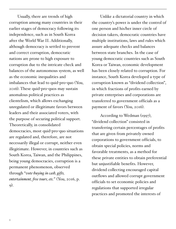Usually, there are trends of high corruption among many countries in their earlier stages of democracy following its independence, such as in South Korea after the World War II. Additionally, although democracy is settled to prevent and correct corruption, democratic nations are prone to high exposure to corruption due to the intricate check and balances of the autonomous system, as well as the economic inequalities and imbalances that lead to quid-pro-quo (You, 2016). These quid-pro-quos may sustain anomalous political practices as clientelism, which allows exchanging unregulated or illegitimate favors between leaders and their associated voters, with the purpose of securing political support. Theoretically, in consolidated democracies, most quid-pro-quo situations are regulated and, therefore, are not necessarily illegal or corrupt, neither even illegitimate. However, in countries such as South Korea, Taiwan, and the Philippines, being young democracies, corruption is a permanent phenomenon, observed through "*vote-buying in cash, gifts, entertainment, free tours, etc.*" (You, 2016, p. 9).

Unlike a dictatorial country in which the country's power is under the control of one person and his/her inner circle of decision takers, democratic countries have multiple institutions, laws and rules which assure adequate checks and balances between state branches. In the case of young democratic countries such as South Korea or Taiwan, economic development has been closely related to corruption. For instance, South Korea developed a type of corruption known as "dividend collection", in which fractions of profits earned by private enterprises and corporations are transferred to government officials as a payment of favors (You, 2016).

According to Wedman (1997), "dividend collection" consisted in transferring certain percentages of profits that are given from privately owned corporations to government officials, to obtain special policies, norms and favorable treatments, as a method for these private entities to obtain preferential but unjustifiable benefits. However, dividend collecting encouraged capital outflows and allowed corrupt government officials to set economic policies and regulations that supported irregular practices and promoted the interests of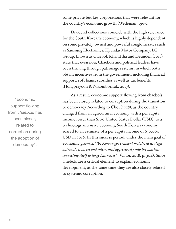some private but key corporations that were relevant for the country's economic growth (Wedeman, 1997).

Dividend collections coincide with the high relevance for the South Korean's economy, which is highly dependent on some privately-owned and powerful conglomerates such as Samsung Electronics, Hyundai Motor Company, LG Group, known as chaebol. Khanittha and Deunden (2017) state that even now, Chaebols and political leaders have been thriving through patronage systems, in which both obtain incentives from the government, including financial support, soft loans, subsidies as well as tax benefits (Hongprayoon & Nikomborirak, 2017).

As a result, economic support flowing from chaebols has been closely related to corruption during the transition to democracy. According to Choi (2018), as the country changed from an agricultural economy with a per capita income lower than \$100 United States Dollar (USD), to a technology-intensive economy, South Korea's economy soared to an estimate of a per capita income of \$30,000 USD in 2016. In this success period, under the main goal of economic growth, "*the Korean government mobilized strategic national resources and intervened aggressively into the markets, connecting itself to large businesses*" (Choi, 2018, p. 304). Since Chebols are a critical element to explain economic development, at the same time they are also closely related to systemic corruption.

"Economic support flowing from *chaebols* has been closely related to corruption during the adoption of democracy".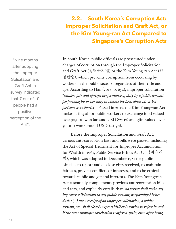#### **2.2. South Korea's Corruption Act: Improper Solicitation and Graft Act, or the Kim Young-ran Act Compared to Singapore's Corruption Acts**

"Nine months after adopting the Improper Solicitation and Graft Act, a survey indicated that 7 out of 10 people had a positive perception of the Act".

In South Korea, public officials are prosecuted under charges of corruption through the Improper Solicitation and Graft Act (청탁금지법) or the Kim Young-ran Act (김 영란법), which prevents corruption from occurring by workers in the public sectors, regardless of their title and age. According to Han (2018, p. 654), improper solicitation "*hinders fair and upright performance of duty by a public servant performing his or her duty to violate the law, abuse his or her position or authority*." Passed in 2015, the Kim Young-ran Act makes it illegal for public workers to exchange food valued over 30,000 won (around USD \$25.17) and gifts valued over 50,000 won (around USD \$41.96).

Before the Improper Solicitation and Graft Act, various anti-corruption laws and bills were passed, including the Act of Special Treatment for Improper Accumulation for Wealth in 1961, Public Service Ethics Act (공직자윤리 법), which was adopted in December 1981 for public officials to report and disclose gifts received, to maintain fairness, prevent conflicts of interests, and to be ethical towards public and general interests. The Kim Young-ran Act essentially complements previous anti-corruption bills and acts, and explicitly entails that "*no person shall make any improper solicitations to any public servant, performing his/her duties (…) upon receipt of an improper solicitation, a public servant, etc., shall clearly express his/her intention to reject it; and if the same improper solicitation is offered again, even after being*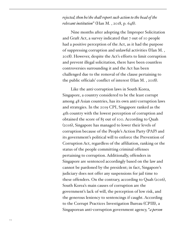*rejected, then he/she shall report such action to the head of the relevant institution*" (Han M. , 2018, p. 648).

Nine months after adopting the Improper Solicitation and Graft Act, a survey indicated that 7 out of 10 people had a positive perception of the Act, as it had the purpose of suppressing corruption and unlawful activities (Han M. , 2018). However, despite the Act's efforts to limit corruption and prevent illegal solicitation, there have been countless controversies surrounding it and the Act has been challenged due to the removal of the clause pertaining to the public officials' conflict of interest (Han M. , 2018).

Like the anti-corruption laws in South Korea, Singapore, a country considered to be the least corrupt among 48 Asian countries, has its own anti-corruption laws and strategies. In the 2019 CPI, Singapore ranked as the 4th country with the lowest perception of corruption and obtained the score of 85 out of 100. According to Quah (2016), Singapore has managed to lower their levels of corruption because of the People's Action Party (PAP) and its government's political will to enforce the Prevention of Corruption Act, regardless of the affiliation, ranking or the status of the people committing criminal offenses pertaining to corruption. Additionally, offenders in Singapore are sentenced accordingly based on the law and cannot be pardoned by the president; in fact, Singapore's judiciary does not offer any suspensions for jail time to these offenders. On the contrary, according to Quah (2016), South Korea's main causes of corruption are the government's lack of will, the perception of low risk, and the generous leniency to sentencings if caught. According to the Corrupt Practices Investigation Bureau (CPIB), a Singaporean anti-corruption government agency, "*a person*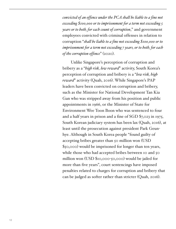*convicted of an offence under the PCA shall be liable to a fine not exceeding \$100,000 or to imprisonment for a term not exceeding 5 years or to both, for each count of corruption*," and government employees convicted with criminal offenses in relation to corruption "*shall be liable to a fine not exceeding \$100,000 or to imprisonment for a term not exceeding 7 years, or to both, for each of the corruption offence*" (2020).

Unlike Singapore's perception of corruption and bribery as a "*high risk, low reward*" activity, South Korea's perception of corruption and bribery is a "*low risk, high reward*" activity (Quah, 2016). While Singapore's PAP leaders have been convicted on corruption and bribery, such as the Minister for National Development Tan Kia Gan who was stripped away from his position and public appointments in 1966, or the Minister of State for Environment Wee Toon Boon who was sentenced to four and a half years in prison and a fine of SGD \$7,023 in 1975, South Korean judiciary system has been lax (Quah, 2016), at least until the prosecution against president Park Geunhye. Although in South Korea people "found guilty of accepting bribes greater than 50 million won (USD \$50,000) would be imprisoned for longer than ten years, while those who had accepted bribes between 10 and 50 million won (USD \$10,000-50,000) would be jailed for more than five years", court sentencings have imposed penalties related to charges for corruption and bribery that can be judged as softer rather than stricter (Quah, 2016).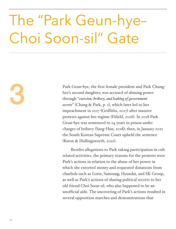### The "Park Geun-hye– Choi Soon-sil" Gate

Park Geun-hye, the first female president and Park Chung-<br>hee's second daughter, was accused of abusing power<br>through "coercion, bribery, and leaking of government<br>secrets" (Chang & Park, p. 1), which later led to her hee's second daughter, was accused of abusing power through "*coercion, bribery, and leaking of government secrets*" (Chang & Park, p. 1), which later led to her impeachment in 2017 (Griffiths, 2017) after massive protests against her regime (Fifield, 2016). In 2018 Park Geun-hye was sentenced to 24 years in prison under charges of bribery (Sang-Hun, 2018); then, in January 2021 the South Korean Supreme Court upheld the sentence (Kwon & Hollingsworth, 2021).

> Besides allegations to Park taking participation in cult related activities, the primary reasons for the protests were Park's actions in relation to the abuse of her power in which she extorted money and requested donations from chaebols such as Lotte, Samsung, Hyundai, and SK Group, as well as Park's actions of sharing political secrets to her old friend Choi Soon-sil, who also happened to be an unofficial aide. The uncovering of Park's actions resulted in several opposition marches and demonstrations that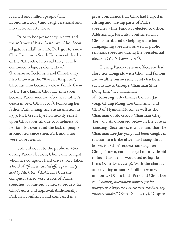reached one million people (The Economist, 2017) and caught national and international attention.

Prior to her presidency in 2013 and the infamous "Park Geun-hye–Choi Soonsil gate scandal" in 2016, Park got to know Choi Tae-min, a South Korean cult leader of the "Church of Eternal Life," which combined religious elements of Shamanism, Buddhism and Christianity. Also known as the "Korean Rasputin", Choi Tae-min became a close family friend to the Park family. Choi Tae-min soon became Park's mentor, after her mother's death in 1974 (BBC, 2018). Following her father, Park Chung-hee's assassination in 1979, Park Geun-hye had heavily relied upon Choi soon-sil, due to loneliness of her family's death and the lack of people around her; since then, Park and Choi were close friends.

Still unknown to the public in 2012 during Park's election, Choi came to light when her computer hard drives were taken a hold of, "*from a vacated office previously used by Ms. Choi*" (BBC, 2018). In the computer there were traces of Park's speeches, submitted by her, to request for Choi's edits and approval. Additionally, Park had confirmed and confessed in a

press conference that Choi had helped in editing and writing parts of Park's speeches while Park was elected to office. Additionally, Park also confirmed that Choi contributed to helping write her campaigning speeches, as well as public relations speeches during the presidential election (YTN News, 2016).

During Park's years in office, she had close ties alongside with Choi, and famous and wealthy businessmen and chaebols, such as Lotte Group's Chairman Shin Dong-bin, Vice Chairman of Samsung Electronics Co. Lee Jaeyong, Chung Mong-koo Chairman and CEO of Hyundai Motor, as well as the Chairman of SK Group Chairman Chey Tae-won. As discussed below, in the case of Samsung Electronics, it was found that the Chairman Lee Jae-yong had been caught in relation to a bribe after purchasing three horses for Choi's equestrian daughter, Chung Yoo-ra, and managed to provide aid to foundation that were used as façade firms (Kim T.-h. , 2019). With the charges of providing around 8.6 billion won (7 million USD) to both Park and Choi, Lee was "*seeking government support for his attempt to solidify his control over the Samsung business empire.*" (Kim T.-h. , 2019). Despite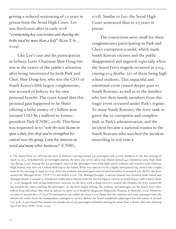getting a reduced sentencing of 1.5 years in prison from the Seoul High Court, Lee was freed soon after in early 2018 "*overturning key convictions and shaving the bribe total by more than a half*" (Kim T.-h. , 2019).

Like Lee's case and his participation in bribery, Lotte Chairman Shin Dong-bin was at the center of the public's attention after being intertwined by both Park and Choi. Shin Dong-bin, who was the CEO of South Korea's fifth largest conglomerate, was accused of bribery for his own personal benefit. The court found that this personal gain happened to be Shin's offering a bribe money of 7 billion won (around USD \$6.5 million) to former president Park (CNBC, 2018). This favor was requested in to "*win the state license to open a duty-free shop and to strengthen his control over the group. Lotte has interests in retail and many other businesses*" (CNBC,

2018). Similar to Lee, the Seoul High Court sentenced Shin to 2.5 years in prison.

The convictions were small for these conglomerates participating in Park and Choi's corruption scandal, which made South Korean citizens and the public disappointed and angered, especially when the Sewol Ferry tragedy occurred in 2014, causing 304 deaths, 250 of them being high school students. This impactful and emotional event caused deeper pain to South Koreans, as well as to the families who lost their family members from this tragic event occurred under Park's regime. To many South Koreans, the ferry sank in greed due to corruption and complete fault in Park's administration, and the incident became a national trauma to the South Koreans who watched the incident unraveling in real time.*1*

*1*. The Sewol Ferry set off from the port of Incheon carrying around 443 passengers and 33 crew members in the late evening of April 15, 2014. Scheduled for an overnight journey, the ferry was set to sail to Jeju Island, around 440 kilometers away from Incheon (Jeong, 2019). Among the 433 passengers, most of the passengers were both high school students and teachers from Danwon High School, who were on a school field trip to the Island. What was expected to be a highly anticipated trip, turned into a nightmare in the morning of April 16, 2014. After the students and passengers enjoyed their breakfast at around 8 a.m. (KST), the ferry neared the Maengol Strait (맹골수도) just before 9 a.m. The Maengol Straight, a narrow channel just between Jindo Island and Maengol Island, is around 4.5 kilometers width and is labeled with the second highest current in South Korea, with 6 knots (Kim S. , 2015) alongside with strong underwater currents. As the ferry took a sharp turn as it neared this channel, the ferry started tilting towards the water, startling the passengers. As the ferry began sinking, the students and passengers on the Sewol Ferry were told to keep still where they were at and not to move, as it would be dangerous (Hancocks, Pearson, & Shoichet, 2014). However, as water of around the 12°C (53.6°F) continued to rise within the ferry, it was found that the students and some passengers who disobeyed the orders from the loudspeakers, managed to survive. Before the Sewol completely submerged into the waters at around 1:00 p.m., it was found that around 300 people out of 443 passengers remained missing for more than 12 hours, after the submerging of the ferry (NBC News, 2014).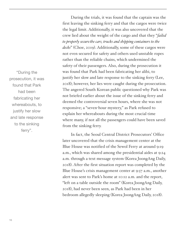"During the prosecution, it was found that Park had been fabricating her whereabouts, to justify her slow and late response to the sinking ferry".

During the trials, it was found that the captain was the first leaving the sinking ferry and that the cargos were twice the legal limit. Additionally, it was also uncovered that the crew lied about the weight of the cargo and that they "*failed to properly securethe cars, trucks and shipping containers to the decks*" (Choe, 2019). Additionally, some of these cargos were not even secured for safety and others used unstable ropes rather than the reliable chains, which undermined the safety of their passengers. Also, during the prosecution it was found that Park had been fabricating her alibi, to justify her slow and late response to the sinking ferry (Lee, 2018); however, her lies were caught during the prosecution. The angered South Korean public questioned why Park was not briefed earlier about the issue of the sinking ferry and deemed the controversial seven hours, where she was not responsive; a "seven-hour mystery," as Park refused to explain her whereabouts during the most crucial time where many, if not all the passengers could have been saved from the sinking ferry.

In fact, the Seoul Central District Prosecutors' Office later uncovered that the crisis management center at the Blue House was notified of the Sewol Ferry at around 9:19 a.m., which was shared among the presidential aides at 9:24 a.m. through a text message system (Korea JoongAng Daily, 2018). After the first situation report was completed by the Blue House's crisis management center at 9:57 a.m., another alert was sent to Park's home at 10:12 a.m. and the report, "left on a table outside the room" (Korea JoongAng Daily, 2018), had never been seen, as Park had been in her bedroom allegedly sleeping (Korea JoongAng Daily, 2018).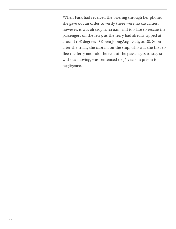When Park had received the briefing through her phone, she gave out an order to verify there were no casualties; however, it was already 10:22 a.m. and too late to rescue the passengers on the ferry, as the ferry had already tipped at around 108 degrees (Korea JoongAng Daily, 2018). Soon after the trials, the captain on the ship, who was the first to flee the ferry and told the rest of the passengers to stay still without moving, was sentenced to 36 years in prison for negligence.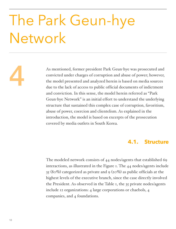### The Park Geun-hye Network

As mentioned, former president Park Geun-hye was prosecuted and convicted under charges of corruption and abuse of power; however, the model presented and analyzed herein is based on media sources due to the lack of access convicted under charges of corruption and abuse of power; however, the model presented and analyzed herein is based on media sources due to the lack of access to public official documents of indictment and conviction. In this sense, the model herein referred as "Park Geun-hye Network" is an initial effort to understand the underlying structure that sustained this complex case of corruption, favoritism, abuse of power, coercion and clientelism. As explained in the introduction, the model is based on excerpts of the prosecution covered by media outlets in South Korea.

#### **4.1. Structure**

The modeled network consists of 44 nodes/agents that established 69 interactions, as illustrated in the Figure 1. The 44 nodes/agents include 35 (80%) categorized as private and 9 (20%) as public officials at the highest levels of the executive branch, since the case directly involved the President. As observed in the Table 1, the 35 private nodes/agents include 12 organizations: 4 large corporations or chaebols, 4 companies, and 4 foundations.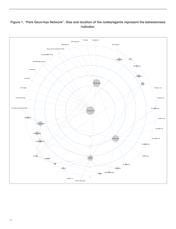

#### **Figure 1. "Park Geun-hye Network". Size and location of the nodes/agents represent the betweenness indicator.**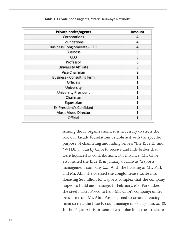| Private nodes/agents               | <b>Amount</b>  |
|------------------------------------|----------------|
| Corporations                       | 4              |
| Foundations                        | 4              |
| <b>Business Conglomerate - CEO</b> | $\overline{4}$ |
| <b>Business</b>                    | 3              |
| CEO                                | 3              |
| Professor                          | 3              |
| <b>University Affiliate</b>        | 3              |
| Vice Chairman                      | 2              |
| <b>Business - Consulting Firm</b>  | $\mathbf{1}$   |
| <b>Officials</b>                   |                |
| University                         | $\mathbf{1}$   |
| <b>University President</b>        | 1              |
| Chairman                           |                |
| Equestrian                         |                |
| <b>Ex-President's Confidant</b>    |                |
| <b>Music Video Director</b>        |                |
| Official                           |                |

**Table 1. Private nodes/agents, "Park Geun-hye Network".**

Among the 12 organizations, it is necessary to stress the role of 2 façade foundations established with the specific purpose of channeling and hiding bribes: "the Blue K" and "WIDEC", ran by Choi to receive and hide bribes that were legalized as contributions. For instance, Ms. Choi established the Blue K in January of 2016 as "a sports management company (…). With the backing of Ms. Park and Mr. Ahn, she coerced the conglomerate Lotte into donating \$6 million for a sports complex that the company hoped to build and manage. In February, Ms. Park asked the steel maker Posco to help Ms. Choi's company; under pressure from Mr. Ahn, Posco agreed to create a fencing team so that the Blue K could manage it" (Sang-Hun, 2018). In the Figure 2 it is presented with blue lines the structure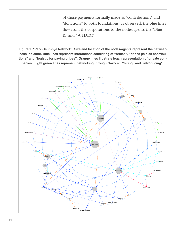of those payments formally made as "contributions" and "donations" to both foundations; as observed, the blue lines flow from the corporations to the nodes/agents the "Blue K" and "WIDEC".

**Figure 2. "Park Geun-hye Network". Size and location of the nodes/agents represent the betweenness indicator. Blue lines represent interactions consisting of "bribes", "bribes paid as contributions" and "logistic for paying bribes". Orange lines illustrate legal representation of private companies. Light green lines represent networking through "favors", "hiring" and "introducing".**

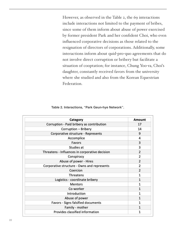However, as observed in the Table 2, the 69 interactions include interactions not limited to the payment of bribes, since some of them inform about abuse of power exercised by former president Park and her confident Choi, who even influenced corporative decisions as those related to the resignation of directors of corporations. Additionally, some interactions inform about quid-pro-quo agreements that do not involve direct corruption or bribery but facilitate a situation of cooptation; for instance, Chung Yoo-ra, Choi's daughter, constantly received favors from the university where she studied and also from the Korean Equestrian Federation.

|  | Table 2. Interactions, "Park Geun-hye Network". |  |  |  |  |
|--|-------------------------------------------------|--|--|--|--|
|--|-------------------------------------------------|--|--|--|--|

| Category                                       | Amount         |
|------------------------------------------------|----------------|
| Corruption - Paid bribery as contribution      | 17             |
| Corruption - Bribery                           | 14             |
| Corporative structure - Represents             | 9              |
| Accomplice                                     | 4              |
| Favors                                         | 3              |
| Studies at                                     | 3              |
| Threatens - Influences in corporative decision | $\overline{2}$ |
| Conspiracy                                     | $\overline{2}$ |
| Abuse of power - Hires                         | $\overline{2}$ |
| Corporative structure - Owns and represents    | 2              |
| Coercion                                       | $\overline{2}$ |
| Threatens                                      | $\mathbf{1}$   |
| Logistics - coordinate bribery                 | $\mathbf{1}$   |
| <b>Mentors</b>                                 | 1              |
| Co-worker                                      | $\mathbf{1}$   |
| Introduction                                   | 1              |
| Abuse of power                                 | 1              |
| Favors - Signs falsified documents             | 1              |
| Family - mother                                | $\mathbf{1}$   |
| Provides classified information                | 1              |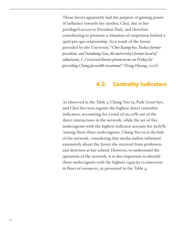Those favors apparently had the purpose of gaining power of influence towards her mother, Choi, due to her privileged access to President Park, and therefore contributing to promote a situation of cooptation behind a quid-pro-quo relationship. As a result of the favors provided by the University, "*Choi Kyung-hee, Ewha's former president, and Namkung Gon, the university's former head of admissions, (…) received shorter prison terms on Friday for providing Chung favorable treatment*" (Tong-Hyung, 2017).

#### **4.2. Centrality indicators**

As observed in the Table 3, Chung Yoo-ra, Park Geun-hye, and Choi Seo-won register the highest direct centrality indicators, accounting for a total of 26,09% out of the direct interactions in the network, while the set of five nodes/agents with the highest indicator account for 39,85%. Among these three nodes/agents, Chung Yoo-ra is the hub of the network, considering that media outlets informed extensively about the favors she received from professors and directors at her school. However, to understand the operation of the network, it is also important to identify those nodes/agents with the highest capacity to intervene in flows of resources, as presented in the Table 4.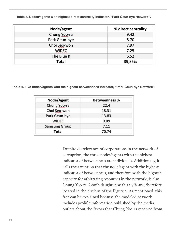**Table 3. Nodes/agents with highest direct centrality indicator, "Park Geun-hye Network".**

| Node/agent    | % direct centrality |
|---------------|---------------------|
| Chung Yoo-ra  | 9.42                |
| Park Geun-hye | 8.70                |
| Choi Seo-won  | 7.97                |
| <b>WIDEC</b>  | 7.25                |
| The Blue K    | 6.52                |
| Total         | 39,85%              |

**Table 4. Five nodes/agents with the highest betweenness indicator, "Park Geun-hye Network".**

| Node/Agent           | <b>Betweenness %</b> |
|----------------------|----------------------|
| Chung Yoo-ra         | 22.4                 |
| Choi Seo-won         | 18.31                |
| Park Geun-hye        | 13.83                |
| <b>WIDEC</b>         | 9.09                 |
| <b>Samsung Group</b> | 7.11                 |
| <b>Total</b>         | 70.74                |

Despite de relevance of corporations in the network of corruption, the three nodes/agents with the highest indicator of betweenness are individuals. Additionally, it calls the attention that the node/agent with the highest indicator of betweenness, and therefore with the highest capacity for arbitrating resources in the network, is also Chung Yoo-ra, Choi's daughter, with 22.4% and therefore located in the nucleus of the Figure 2. As mentioned, this fact can be explained because the modeled network includes prolific information published by the media outlets about the favors that Chung Yoo-ra received from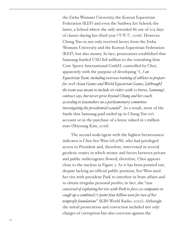the Ewha Womans University, the Korean Equestrian Federation (KEF) and even the Sunhwa Art School; the latter, a School where she only attended 86 out of 205 days of classes during her third year (옥현주, 2016). However, Chung Yoo-ra not only received favors from the Ewha Womans University and the Korean Equestrian Federation (KEF), but also money. In fact, prosecutors established that Samsung funded USD \$18 million to the consulting firm Core Sports International GmbH, controlled by Choi, apparently with the purpose of developing "*(…) an Equestrian Team, including overseas training of athletes to prepare for 2018 Asian Games and World Equestrian Games; [although] the team was meant to include six riders with 12 horses, Samsung's contract says, but never grew beyond Chung and her coach, according to lawmakers on a parliamentary committee investigating the presidential scandal*". As a result, most of the funds that Samsung paid ended up in Chung Yoo-ra's account or in the purchase of a horse valued in 1 million euro (Miyoung Kim, 2016).

The second node/agent with the highest betweenness indicator is Choi Seo-Won (18.31%), who had privileged access to President and, therefore, intervened in several geodesic routes in which money and favors between private and public nodes/agents flowed; therefore, Choi appears close to the nucleus in Figure 2. As it has been pointed out, despite lacking an official public position, Seo-Won used her ties with president Park to interfere in State affairs and to obtain irregular personal profits; in fact, she "*was convicted of exploiting her ties with Park to force 50 companies to cough up a combined 77-point-four billion won for two of her nonprofit foundations*" (KBS World Radio, 2020). Although the initial prosecution and conviction included not only charges of corruption but also coercion against the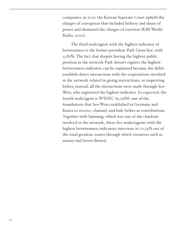companies, in 2020 the Korean Supreme Court upheld the charges of corruption that included bribery and abuse of power and dismissed the charges of coercion (KBS World Radio, 2020).

The third node/agent with the highest indicator of betweenness is the former president Park Geun-hye, with 13.83%. The fact that despite having the highest public position in the network Park doesn't register the highest betweenness indicator, can be explained because she didn't establish direct interactions with the corporations involved in the network related to giving instructions, or requesting bribes; instead, all the interactions were made through Seo-Won, who registered the highest indicator. As expected, the fourth node/agent is WIDEC (9,09%), one of the foundations that Seo-Won established in Germany and Korea to receive, channel, and hide bribes as contributions. Together with Samsung, which was one of the chaebols involved in the network, these five nodes/agents with the highest betweenness indicators intervene in 70,74% out of the total geodesic routes through which resources such as money and favors flowed.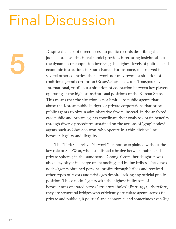### Final Discussion

Despite the lack of direct access to public records describing the<br>judicial process, this initial model provides interesting insights ab<br>the dynamics of cooptation involving the highest levels of politica<br>economic institut judicial process, this initial model provides interesting insights about the dynamics of cooptation involving the highest levels of political and economic institutions in South Korea. For instance, as observed in several other countries, the network not only reveals a situation of traditional grand corruption (Rose-Ackerman, 2002; Transparency International, 2016), but a situation of cooptation between key players operating at the highest institutional positions of the Korean State. This means that the situation is not limited to public agents that abuse the Korean public budget, or private corporations that bribe public agents to obtain administrative favors; instead, in the analyzed case public and private agents coordinate their goals to obtain benefits through diverse procedures sustained on the actions of "gray" nodes/ agents such as Choi Seo-won, who operate in a thin divisive line between legality and illegality.

> The "Park Geun-hye Network" cannot be explained without the key role of Seo-Won, who established a bridge between public and private spheres; in the same sense, Chong Yoo-ra, her daughter, was also a key player in charge of channeling and hiding bribes. These two nodes/agents obtained personal profits through bribes and received other types of favors and privileges despite lacking any official public position. Those nodes/agents with the highest indicators of betweenness operated across "structural holes" (Burt, 1992); therefore, they are structural bridges who efficiently articulate agents across (i) private and public, (ii) political and economic, and sometimes even (iii)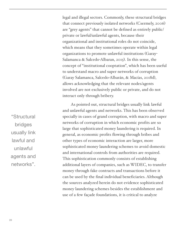legal and illegal sectors. Commonly, these structural bridges that connect previously isolated networks (Csermely, 2006) are "grey agents" that cannot be defined as entirely public/ private or lawful/unlawful agents, because their organizational and institutional roles do not coincide, which means that they sometimes operate within legal organizations to promote unlawful institutions (Garay-Salamanca & Salcedo-Albaran, 2015). In this sense, the concept of "institutional cooptation", which has been useful to understand macro and super networks of corruption (Garay Salamanca, Salcedo-Albarán, & Macías, 2018d), allows acknowledging that the relevant nodes/agents involved are not exclusively public or private, and do not interact only through bribery.

As pointed out, structural bridges usually link lawful and unlawful agents and networks. This has been observed specially in cases of grand corruption, with macro and super networks of corruption in which economic profits are so large that sophisticated money laundering is required. In general, as economic profits flowing through bribes and other types of economic interaction are larger, more sophisticated money laundering schemes to avoid domestic and international controls from authorities are required. This sophistication commonly consists of establishing additional layers of companies, such as WIDEC, to transfer money through fake contracts and transactions before it can be used by the final individual beneficiaries. Although the sources analyzed herein do not evidence sophisticated money laundering schemes besides the establishment and use of a few façade foundations, it is critical to analyze

"Structural bridges usually link lawful and unlawful agents and networks".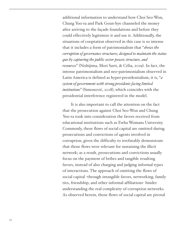additional information to understand how Choi Seo-Won, Chung Yoo-ra and Park Geun-hye channeled the money after arriving to the façade foundations and before they could effectively legitimize it and use it. Additionally, the situations of cooptation observed in this case is so intense that it includes a form of patrimonialism that "*shows the corruption of governance structures, designed to maintain the status quo by capturing the public sector power, structure, and resources*" (Nishijima, Mori Sarti, & Célia, 2019). In fact, the intense patrimonialism and neo-patrimonialism observed in Latin America is defined as hyper-presidentialism, it is, "*a system of government with strong presidents facing limited institutions*" (Simonović, 2018), which coincides with the presidential interference registered in the model.

It is also important to call the attention on the fact that the prosecution against Choi Seo-Won and Chung Yoo-ra took into consideration the favors received from educational institutions such as Ewha Womans University. Commonly, these flows of social capital are omitted during prosecutions and convictions of agents involved in corruption, given the difficulty to irrefutably demonstrate that those flows were relevant for sustaining the illicit network; as a result, prosecutions and convictions usually focus on the payment of bribes and tangible resulting favors, instead of also charging and judging informal types of interactions. The approach of omitting the flows of social capital -through intangible favors, networking, family ties, friendship, and other informal affiliations- hinder understanding the real complexity of corruption networks. As observed herein, those flows of social capital are pivotal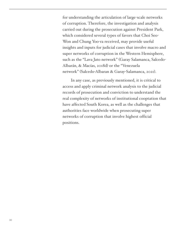for understanding the articulation of large-scale networks of corruption. Therefore, the investigation and analysis carried out during the prosecution against President Park, which considered several types of favors that Choi Seo-Won and Chung Yoo-ra received, may provide useful insights and inputs for judicial cases that involve macro and super networks of corruption in the Western Hemisphere, such as the "Lava Jato network" (Garay Salamanca, Salcedo-Albarán, & Macías, 2018d) or the "Venezuela network" (Salcedo-Albaran & Garay-Salamanca, 2021).

In any case, as previously mentioned, it is critical to access and apply criminal network analysis to the judicial records of prosecution and conviction to understand the real complexity of networks of institutional cooptation that have affected South Korea, as well as the challenges that authorities face worldwide when prosecuting super networks of corruption that involve highest official positions.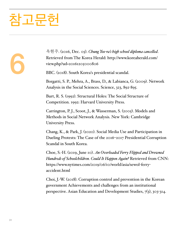### 착고무헌

6

옥현주. (2016, Dec. 05). *Chung Yoo-ra's high school diploma cancelled*. Retrieved from The Korea Herald: [http://www.koreaherald.com/](http://www.koreaherald.com/view.php?ud=20161205000806) [view.php?ud=20161205000806](http://www.koreaherald.com/view.php?ud=20161205000806)

BBC. (2018). South Korea's presidential scandal.

Borgatti, S. P., Mehra, A., Brass, D., & Labianca, G. (2009). Network Analysis in the Social Sciences. Science, 323, 892-895.

Burt, R. S. (1992). Structural Holes: The Social Structure of Competition. 1992: Harvard University Press.

Carrington, P. J., Scoot, J., & Wasserman, S. (2005). Models and Methods in Social Network Analysis. New York: Cambridge University Press.

Chang, K., & Park, J. (2020). Social Media Use and Participation in Dueling Protests: The Case of the 2016–2017 Presidential Corruption Scandal in South Korea.

Choe, S.-H. (2019, June 10). *An Overloaded Ferry Flipped and Drowned Hundreds of Schoolchildren. Could It Happen Again?* Retrieved from CNN: [https://www.nytimes.com/2019/06/10/world/asia/sewol](https://www.nytimes.com/2019/06/10/world/asia/sewol-ferry-accident.html)-ferry[accident.html](https://www.nytimes.com/2019/06/10/world/asia/sewol-ferry-accident.html)

Choi, J.-W. (2018). Corruption control and prevention in the Korean government Achievements and challenges from an institutional perspective. Asian Education and Development Studies, 7(3), 303-314.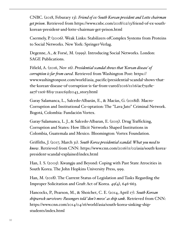CNBC. (2018, Feburary 13). *Friend of ex-South Korean president and Lotte chairman get prison*. Retrieved from [https://www.cnbc.com/2018/02/13/friend](https://www.cnbc.com/2018/02/13/friend-of-ex-south-korean-president-and-lotte-chairman-get-prison.html)-of-ex-southkorean-president-and-lotte-chairman-get-[prison.html](https://www.cnbc.com/2018/02/13/friend-of-ex-south-korean-president-and-lotte-chairman-get-prison.html)

Csermely, P. (2006). Weak Links: Stabilizers ofComplex Systems from Proteins to Social Networks. New York: Springer-Verlag.

Degenne, A., & Forsé, M. (1999). Introducing Social Networks. London: SAGE Publications.

Fifield, A. (2016, Nov 16). *Presidential scandal shows that 'Korean disease' of corruption is far from cured*. Retrieved from Washington Post: [https://](https://www.washingtonpost.com/world/asia_pacific/presidential-scandal-shows-that-the-korean-disease-of-corruption-is-far-from-cured/2016/11/16/acf7928e-aa7f-11e6-8f19-21a1c65d2043_story.html) [www.washingtonpost.com/world/asia\\_pacific/presidential](https://www.washingtonpost.com/world/asia_pacific/presidential-scandal-shows-that-the-korean-disease-of-corruption-is-far-from-cured/2016/11/16/acf7928e-aa7f-11e6-8f19-21a1c65d2043_story.html)-scandal-shows-thatthe-korean-disease-of-corruption-is-far-from-[cured/2016/11/16/acf7928e](https://www.washingtonpost.com/world/asia_pacific/presidential-scandal-shows-that-the-korean-disease-of-corruption-is-far-from-cured/2016/11/16/acf7928e-aa7f-11e6-8f19-21a1c65d2043_story.html)aa7f-11e6-8f19-[21a1c65d2043\\_story.html](https://www.washingtonpost.com/world/asia_pacific/presidential-scandal-shows-that-the-korean-disease-of-corruption-is-far-from-cured/2016/11/16/acf7928e-aa7f-11e6-8f19-21a1c65d2043_story.html)

Garay Salamanca, L., Salcedo-Albarán, E., & Macías, G. (2018d). Macro-Corruption and Institutional Co-optation: The "Lava Jato" Criminal Network. Bogotá, Colombia: Fundación Vortex.

Garay-Salamanca, L. J., & Salcedo-Albaran, E. (2015). Drug Trafficking, Corruption and States: How Illicit Networks Shaped Institutions in Colombia, Guatemala and Mexico. Bloomington: Vortex Foundation.

Griffiths, J. (2017, March 31). *South Korea presidential scandal: What you need to know*. Retrieved from CNN: [https://www.cnn.com/2016/11/02/asia/south](https://www.cnn.com/2016/11/02/asia/south-korea-president-scandal-explained/index.html)-koreapresident-scandal-[explained/index.html](https://www.cnn.com/2016/11/02/asia/south-korea-president-scandal-explained/index.html)

Han, I. S. (2005). Kwangju and Beyond: Coping with Past State Atrocities in South Korea. The John Hopkins University Press, 999.

Han, M. (2018). The Current Status of Legislation and Tasks Regarding the Improper Solicitation and Graft Act of Korea. 49(4), 646-663.

Hancocks, P., Pearson, M., & Shoichet, C. E. (2014, April 17). *South Korean shipwreck survivors: Passengers told 'don't move' as ship sank*. Retrieved from CNN: [https://www.cnn.com/2014/04/16/world/asia/south](https://www.cnn.com/2014/04/16/world/asia/south-korea-sinking-ship-students/index.html)-korea-sinking-ship[students/index.html](https://www.cnn.com/2014/04/16/world/asia/south-korea-sinking-ship-students/index.html)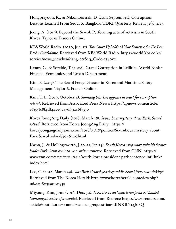Hongprayoon, K., & Nikomborirak, D. (2017, September). Corruption: Lessons Learned From Seoul to Bangkok. TDRI Quarterly Review, 32(3), 4-13.

Jeong, A. (2019). Beyond the Sewol: Performing acts of activism in South Korea. Taylor & Francis Online.

KBS World Radio. (2020, Jun. 11). *Top Court Upholds 18<sup>2</sup> Year Sentence for Ex-Pres. Park's Confidante*. Retrieved from KBS World Radio: [https://world.kbs.co.kr/](https://world.kbs.co.kr/service/news_view.htm?lang=e&Seq_Code=154050) [service/news\\_view.htm?lang=e&Seq\\_Code=154050](https://world.kbs.co.kr/service/news_view.htm?lang=e&Seq_Code=154050)

Kenny, C., & Søreide, T. (2008). Grand Corruption in Utilities. World Bank - Finance, Economics and Urban Department.

Kim, S. (2015). The Sewol Ferry Disaster in Korea and Maritime Safety Management. Taylor & Francis Online.

Kim, T.-h. (2019, October 4). *Samsung heir Lee appears in court for corruption retrial*. Retrieved from Associated Press News: [https://apnews.com/article/](https://apnews.com/article/e8155fc8f4df44ce9ca7df532c6f7330) [e8155fc8f4df44ce9ca7df532c6f7330](https://apnews.com/article/e8155fc8f4df44ce9ca7df532c6f7330)

Korea JoongAng Daily. (2018, March 28). *Seven-hour mystery about Park, Sewol solved*. Retrieved from Korea JoongAng Daily : [https://](https://koreajoongangdaily.joins.com/2018/03/28/politics/Sevenhour-mystery-about-Park-Sewol-solved/3046205.html) [koreajoongangdaily.joins.com/2018/03/28/politics/Sevenhour](https://koreajoongangdaily.joins.com/2018/03/28/politics/Sevenhour-mystery-about-Park-Sewol-solved/3046205.html)-mystery-about-Park-Sewol-[solved/3046205.html](https://koreajoongangdaily.joins.com/2018/03/28/politics/Sevenhour-mystery-about-Park-Sewol-solved/3046205.html)

Kwon, J., & Hollingsworth, J. (2021, Jan 14). *South Korea's top court upholds former leader Park Geun-hye's 20-year prison sentence*. Retrieved from CNN: [https://](https://www.cnn.com/2021/01/14/asia/south-korea-president-park-sentence-intl-hnk/index.html) [www.cnn.com/2021/01/14/asia/south](https://www.cnn.com/2021/01/14/asia/south-korea-president-park-sentence-intl-hnk/index.html)-korea-president-park-sentence-intl-hnk/ [index.html](https://www.cnn.com/2021/01/14/asia/south-korea-president-park-sentence-intl-hnk/index.html)

Lee, C. (2018, March 29). *Was Park Geun-hye asleep while Sewol ferry was sinking?* Retrieved from The Korea Herald: [http://www.koreaherald.com/view.php?](http://www.koreaherald.com/view.php?ud=20180329000933) [ud=20180329000933](http://www.koreaherald.com/view.php?ud=20180329000933)

Miyoung Kim, J.-m. (2016, Dec. 30). *How ties to an 'equestrian princess' landed Samsung at center of a scandal*. Retrieved from Reuters: [https://www.reuters.com/](https://www.reuters.com/article/southkorea-scandal-samsung-equestrian-idINKBN14J0SQ) [article/southkorea](https://www.reuters.com/article/southkorea-scandal-samsung-equestrian-idINKBN14J0SQ)-scandal-samsung-equestrian-idINKBN14J0SQ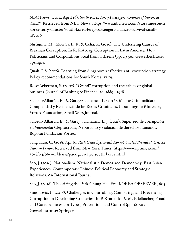NBC News. (2014, April 16). *South Korea Ferry Passengers' Chances of Survival 'Small'*. Retrieved from NBC News: [https://www.nbcnews.com/storyline/south](https://www.nbcnews.com/storyline/south-korea-ferry-disaster/south-korea-ferry-passengers-chances-survival-small-n82016)korea-ferry-[disaster/south](https://www.nbcnews.com/storyline/south-korea-ferry-disaster/south-korea-ferry-passengers-chances-survival-small-n82016)-korea-ferry-passengers-chances-survival-small[n82016](https://www.nbcnews.com/storyline/south-korea-ferry-disaster/south-korea-ferry-passengers-chances-survival-small-n82016)

Nishijima, M., Mori Sarti, F., & Célia, R. (2019). The Underlying Causes of Brazilian Corruption. In R. Rotberg, Corruption in Latin America: How Politicians and Corporations Steal from Citizens (pp. 29-56). Gewerbestrasse: Springer.

Quah, J. S. (2016). Learning from Singapore's effective anti-corruption strategy Policy recommendations for South Korea. 17-19.

Rose-Ackerman, S. (2002). ''Grand'' corruption and the ethics of global business. Journal of Banking & Finance, 26, 1889 - 1918.

Salcedo-Albarán, E., & Garay-Salamanca, L. (2016). Macro-Criminalidad: Complejidad y Resiliencia de las Redes Criminales. Bloomington: iUniverse, Vortex Foundation, Small Wars Journal.

Salcedo-Albaran, E., & Garay-Salamanca, L. J. (2021). Súper red de corrupción en Venezuela: Cleptocracia, Nepotismo y violación de derechos humanos. Bogotá: Fundación Vortex.

Sang-Hun, C. (2018, Apr 6). *Park Geun-hye, South Korea's Ousted President, Gets 24 Years in Prison*. Retrieved from New York Times: [https://www.nytimes.com/](https://www.nytimes.com/2018/04/06/world/asia/park-geun-hye-south-korea.html) [2018/04/06/world/asia/park](https://www.nytimes.com/2018/04/06/world/asia/park-geun-hye-south-korea.html)-geun-hye-south-korea.html

Seo, J. (2016). Nationalism, Nationalistic Demos and Democracy: East Asian Experiences. Contemporary Chinese Political Economy and Strategic Relations: An International Journal.

Seo, J. (2018). Theorizing the Park Chung Hee Era. KOREA OBSERVER, 605.

Simonović, B. (2018). Challenges in Controlling, Combating, and Preventing Corruption in Developing Countries. In P. Kratcoski, & M. Edelbacher, Fraud and Corruption: Major Types, Prevention, and Control (pp. 181-212). Gewerbestrasse: Springer.